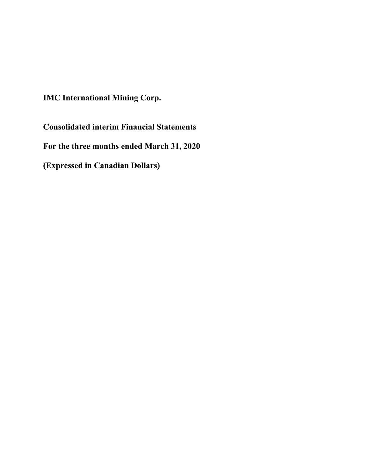**IMC International Mining Corp.**

**Consolidated interim Financial Statements For the three months ended March 31, 2020 (Expressed in Canadian Dollars)**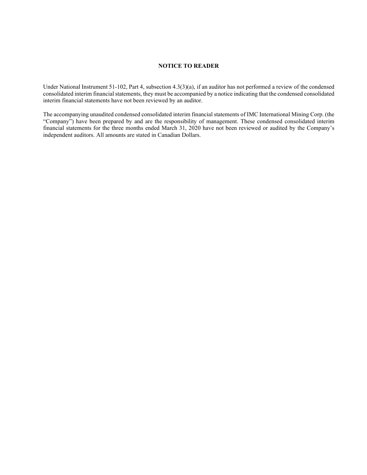# **NOTICE TO READER**

Under National Instrument 51-102, Part 4, subsection 4.3(3)(a), if an auditor has not performed a review of the condensed consolidated interim financial statements, they must be accompanied by a notice indicating that the condensed consolidated interim financial statements have not been reviewed by an auditor.

The accompanying unaudited condensed consolidated interim financial statements of IMC International Mining Corp. (the "Company") have been prepared by and are the responsibility of management. These condensed consolidated interim financial statements for the three months ended March 31, 2020 have not been reviewed or audited by the Company's independent auditors. All amounts are stated in Canadian Dollars.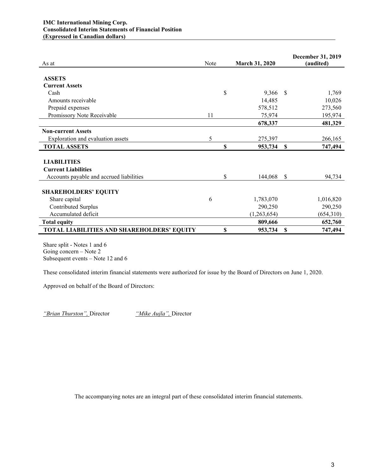| As at                                      | Note | <b>March 31, 2020</b> |      | <b>December 31, 2019</b><br>(audited) |
|--------------------------------------------|------|-----------------------|------|---------------------------------------|
|                                            |      |                       |      |                                       |
| <b>ASSETS</b>                              |      |                       |      |                                       |
| <b>Current Assets</b>                      |      |                       |      |                                       |
| Cash                                       |      | \$<br>9,366           | - \$ | 1,769                                 |
| Amounts receivable                         |      | 14,485                |      | 10,026                                |
| Prepaid expenses                           |      | 578,512               |      | 273,560                               |
| Promissory Note Receivable                 | 11   | 75,974                |      | 195,974                               |
|                                            |      | 678,337               |      | 481,329                               |
| <b>Non-current Assets</b>                  |      |                       |      |                                       |
| Exploration and evaluation assets          | 5    | 275,397               |      | 266,165                               |
| <b>TOTAL ASSETS</b>                        |      | \$<br>953,734         | S    | 747,494                               |
|                                            |      |                       |      |                                       |
| <b>LIABILITIES</b>                         |      |                       |      |                                       |
| <b>Current Liabilities</b>                 |      |                       |      |                                       |
| Accounts payable and accrued liabilities   |      | \$<br>144,068         | \$   | 94,734                                |
|                                            |      |                       |      |                                       |
| <b>SHAREHOLDERS' EQUITY</b>                |      |                       |      |                                       |
| Share capital                              | 6    | 1,783,070             |      | 1,016,820                             |
| Contributed Surplus                        |      | 290,250               |      | 290,250                               |
| Accumulated deficit                        |      | (1,263,654)           |      | (654,310)                             |
| <b>Total equity</b>                        |      | 809,666               |      | 652,760                               |
| TOTAL LIABILITIES AND SHAREHOLDERS' EQUITY |      | \$<br>953,734         | S    | 747,494                               |

Share split - Notes 1 and 6 Going concern – Note 2 Subsequent events – Note 12 and 6

These consolidated interim financial statements were authorized for issue by the Board of Directors on June 1, 2020.

Approved on behalf of the Board of Directors:

*"Brian Thurston",* Director *"Mike Aujla",* Director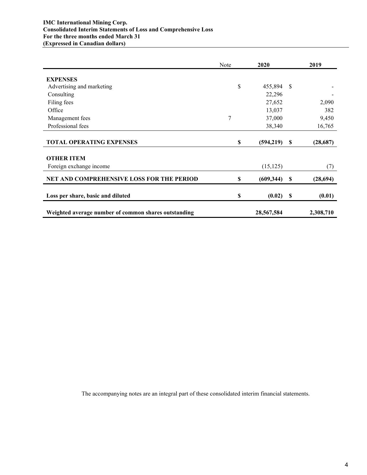## **IMC International Mining Corp. Consolidated Interim Statements of Loss and Comprehensive Loss For the three months ended March 31 (Expressed in Canadian dollars)**

|                                                      | Note | 2020       |          | 2019      |
|------------------------------------------------------|------|------------|----------|-----------|
| <b>EXPENSES</b>                                      |      |            |          |           |
| Advertising and marketing                            | \$   | 455,894    | - \$     |           |
| Consulting                                           |      | 22,296     |          |           |
| Filing fees                                          |      | 27,652     |          | 2,090     |
| Office                                               |      |            |          | 382       |
|                                                      |      | 13,037     |          |           |
| Management fees                                      | 7    | 37,000     |          | 9,450     |
| Professional fees                                    |      | 38,340     |          | 16,765    |
|                                                      |      |            |          |           |
| <b>TOTAL OPERATING EXPENSES</b>                      | \$   | (594,219)  | -S       | (28, 687) |
| <b>OTHER ITEM</b>                                    |      |            |          |           |
| Foreign exchange income                              |      | (15, 125)  |          | (7)       |
|                                                      |      |            |          |           |
| NET AND COMPREHENSIVE LOSS FOR THE PERIOD            | \$   | (609, 344) | -S       | (28, 694) |
| Loss per share, basic and diluted                    | \$   | (0.02)     | <b>S</b> | (0.01)    |
|                                                      |      |            |          |           |
| Weighted average number of common shares outstanding |      | 28,567,584 |          | 2,308,710 |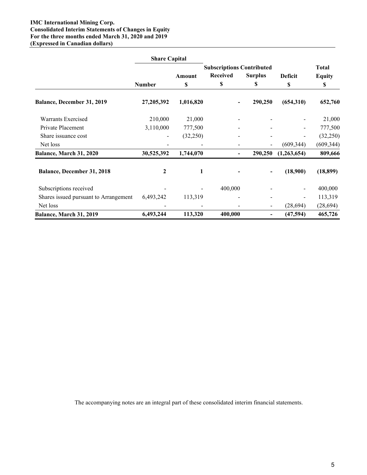## **IMC International Mining Corp. Consolidated Interim Statements of Changes in Equity For the three months ended March 31, 2020 and 2019 (Expressed in Canadian dollars)**

|                                       | <b>Share Capital</b> |           |                                  |                |                |               |
|---------------------------------------|----------------------|-----------|----------------------------------|----------------|----------------|---------------|
|                                       |                      |           | <b>Subscriptions Contributed</b> |                |                | <b>Total</b>  |
|                                       |                      | Amount    | <b>Received</b>                  | <b>Surplus</b> | <b>Deficit</b> | <b>Equity</b> |
|                                       | <b>Number</b>        | \$        | \$                               | \$             | \$             | \$            |
| Balance, December 31, 2019            | 27,205,392           | 1,016,820 |                                  | 290,250        | (654,310)      | 652,760       |
| Warrants Exercised                    | 210,000              | 21,000    |                                  |                |                | 21,000        |
| Private Placement                     | 3,110,000            | 777,500   |                                  |                |                | 777,500       |
| Share issuance cost                   |                      | (32,250)  |                                  |                |                | (32,250)      |
| Net loss                              |                      |           |                                  |                | (609, 344)     | (609, 344)    |
| Balance, March 31, 2020               | 30,525,392           | 1,744,070 |                                  | 290,250        | (1,263,654)    | 809,666       |
| Balance, December 31, 2018            | 2                    |           |                                  |                | (18,900)       | (18, 899)     |
| Subscriptions received                |                      |           | 400,000                          |                |                | 400,000       |
| Shares issued pursuant to Arrangement | 6,493,242            | 113,319   |                                  |                |                | 113,319       |
| Net loss                              |                      |           |                                  |                | (28,694)       | (28, 694)     |
| Balance, March 31, 2019               | 6,493,244            | 113,320   | 400,000                          | -              | (47, 594)      | 465,726       |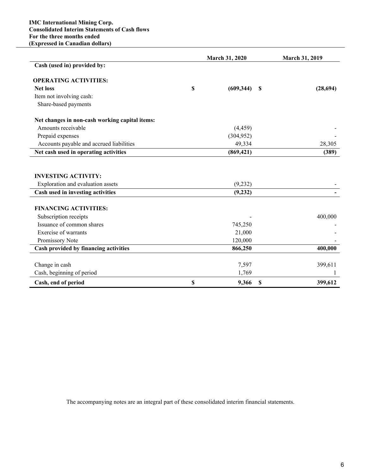|                                                | <b>March 31, 2020</b> |            |    | <b>March 31, 2019</b> |  |
|------------------------------------------------|-----------------------|------------|----|-----------------------|--|
| Cash (used in) provided by:                    |                       |            |    |                       |  |
| <b>OPERATING ACTIVITIES:</b>                   |                       |            |    |                       |  |
| <b>Net loss</b>                                | \$                    | (609, 344) | S  | (28, 694)             |  |
| Item not involving cash:                       |                       |            |    |                       |  |
| Share-based payments                           |                       |            |    |                       |  |
| Net changes in non-cash working capital items: |                       |            |    |                       |  |
| Amounts receivable                             |                       | (4, 459)   |    |                       |  |
| Prepaid expenses                               |                       | (304, 952) |    |                       |  |
| Accounts payable and accrued liabilities       |                       | 49,334     |    | 28,305                |  |
| Net cash used in operating activities          |                       | (869, 421) |    | (389)                 |  |
|                                                |                       |            |    |                       |  |
| <b>INVESTING ACTIVITY:</b>                     |                       |            |    |                       |  |
| Exploration and evaluation assets              |                       | (9,232)    |    |                       |  |
| Cash used in investing activities              |                       | (9, 232)   |    |                       |  |
| <b>FINANCING ACTIVITIES:</b>                   |                       |            |    |                       |  |
| Subscription receipts                          |                       |            |    | 400,000               |  |
| Issuance of common shares                      |                       | 745,250    |    |                       |  |
| Exercise of warrants                           |                       | 21,000     |    |                       |  |
| Promissory Note                                |                       | 120,000    |    |                       |  |
| Cash provided by financing activities          |                       | 866,250    |    | 400,000               |  |
| Change in cash                                 |                       | 7,597      |    | 399,611               |  |
| Cash, beginning of period                      |                       | 1,769      |    | 1                     |  |
|                                                |                       |            |    |                       |  |
| Cash, end of period                            | \$                    | 9,366      | \$ | 399,612               |  |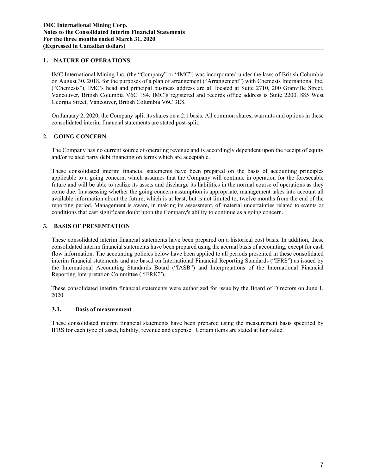## **1. NATURE OF OPERATIONS**

IMC International Mining Inc. (the "Company" or "IMC") was incorporated under the laws of British Columbia on August 30, 2018, for the purposes of a plan of arrangement ("Arrangement") with Chemesis International Inc. ("Chemesis"). IMC's head and principal business address are all located at Suite 2710, 200 Granville Street, Vancouver, British Columbia V6C 1S4. IMC's registered and records office address is Suite 2200, 885 West Georgia Street, Vancouver, British Columbia V6C 3E8.

On January 2, 2020, the Company split its shares on a 2:1 basis. All common shares, warrants and options in these consolidated interim financial statements are stated post-split.

## **2. GOING CONCERN**

The Company has no current source of operating revenue and is accordingly dependent upon the receipt of equity and/or related party debt financing on terms which are acceptable.

These consolidated interim financial statements have been prepared on the basis of accounting principles applicable to a going concern, which assumes that the Company will continue in operation for the foreseeable future and will be able to realize its assets and discharge its liabilities in the normal course of operations as they come due. In assessing whether the going concern assumption is appropriate, management takes into account all available information about the future, which is at least, but is not limited to, twelve months from the end of the reporting period. Management is aware, in making its assessment, of material uncertainties related to events or conditions that cast significant doubt upon the Company's ability to continue as a going concern.

## **3. BASIS OF PRESENTATION**

These consolidated interim financial statements have been prepared on a historical cost basis. In addition, these consolidated interim financial statements have been prepared using the accrual basis of accounting, except for cash flow information. The accounting policies below have been applied to all periods presented in these consolidated interim financial statements and are based on International Financial Reporting Standards ("IFRS") as issued by the International Accounting Standards Board ("IASB") and Interpretations of the International Financial Reporting Interpretation Committee ("IFRIC").

These consolidated interim financial statements were authorized for issue by the Board of Directors on June 1, 2020.

#### **3.1. Basis of measurement**

These consolidated interim financial statements have been prepared using the measurement basis specified by IFRS for each type of asset, liability, revenue and expense. Certain items are stated at fair value.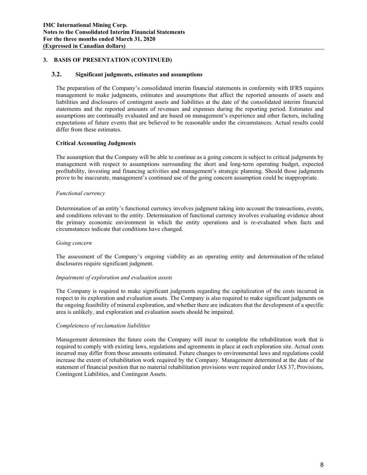## **3. BASIS OF PRESENTATION (CONTINUED)**

### **3.2. Significant judgments, estimates and assumptions**

The preparation of the Company's consolidated interim financial statements in conformity with IFRS requires management to make judgments, estimates and assumptions that affect the reported amounts of assets and liabilities and disclosures of contingent assets and liabilities at the date of the consolidated interim financial statements and the reported amounts of revenues and expenses during the reporting period. Estimates and assumptions are continually evaluated and are based on management's experience and other factors, including expectations of future events that are believed to be reasonable under the circumstances. Actual results could differ from these estimates.

## **Critical Accounting Judgments**

The assumption that the Company will be able to continue as a going concern is subject to critical judgments by management with respect to assumptions surrounding the short and long-term operating budget, expected profitability, investing and financing activities and management's strategic planning. Should those judgments prove to be inaccurate, management's continued use of the going concern assumption could be inappropriate.

## *Functional currency*

Determination of an entity's functional currency involves judgment taking into account the transactions, events, and conditions relevant to the entity. Determination of functional currency involves evaluating evidence about the primary economic environment in which the entity operations and is re-evaluated when facts and circumstances indicate that conditions have changed.

#### *Going concern*

The assessment of the Company's ongoing viability as an operating entity and determination of the related disclosures require significant judgment.

#### *Impairment of exploration and evaluation assets*

The Company is required to make significant judgments regarding the capitalization of the costs incurred in respect to its exploration and evaluation assets. The Company is also required to make significant judgments on the ongoing feasibility of mineral exploration, and whether there are indicators that the development of a specific area is unlikely, and exploration and evaluation assets should be impaired.

#### *Completeness of reclamation liabilities*

Management determines the future costs the Company will incur to complete the rehabilitation work that is required to comply with existing laws, regulations and agreements in place at each exploration site. Actual costs incurred may differ from those amounts estimated. Future changes to environmental laws and regulations could increase the extent of rehabilitation work required by the Company. Management determined at the date of the statement of financial position that no material rehabilitation provisions were required under IAS 37, Provisions, Contingent Liabilities, and Contingent Assets.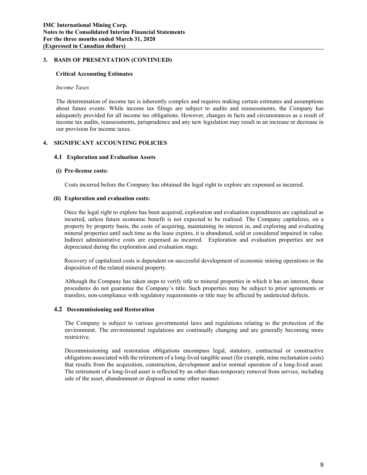### **3. BASIS OF PRESENTATION (CONTINUED)**

### **Critical Accounting Estimates**

### *Income Taxes*

The determination of income tax is inherently complex and requires making certain estimates and assumptions about future events. While income tax filings are subject to audits and reassessments, the Company has adequately provided for all income tax obligations. However, changes in facts and circumstances as a result of income tax audits, reassessments, jurisprudence and any new legislation may result in an increase or decrease in our provision for income taxes.

## **4. SIGNIFICANT ACCOUNTING POLICIES**

## **4.1 Exploration and Evaluation Assets**

## **(i) Pre-license costs:**

Costs incurred before the Company has obtained the legal right to explore are expensed as incurred.

## **(ii) Exploration and evaluation costs:**

Once the legal right to explore has been acquired, exploration and evaluation expenditures are capitalized as incurred, unless future economic benefit is not expected to be realized. The Company capitalizes, on a property by property basis, the costs of acquiring, maintaining its interest in, and exploring and evaluating mineral properties until such time as the lease expires, it is abandoned, sold or considered impaired in value. Indirect administrative costs are expensed as incurred. Exploration and evaluation properties are not depreciated during the exploration and evaluation stage.

Recovery of capitalized costs is dependent on successful development of economic mining operations or the disposition of the related mineral property.

Although the Company has taken steps to verify title to mineral properties in which it has an interest, these procedures do not guarantee the Company's title. Such properties may be subject to prior agreements or transfers, non-compliance with regulatory requirements or title may be affected by undetected defects.

#### **4.2 Decommissioning and Restoration**

The Company is subject to various governmental laws and regulations relating to the protection of the environment. The environmental regulations are continually changing and are generally becoming more restrictive.

Decommissioning and restoration obligations encompass legal, statutory, contractual or constructive obligations associated with the retirement of a long-lived tangible asset (for example, mine reclamation costs) that results from the acquisition, construction, development and/or normal operation of a long-lived asset. The retirement of a long-lived asset is reflected by an other-than-temporary removal from service, including sale of the asset, abandonment or disposal in some other manner.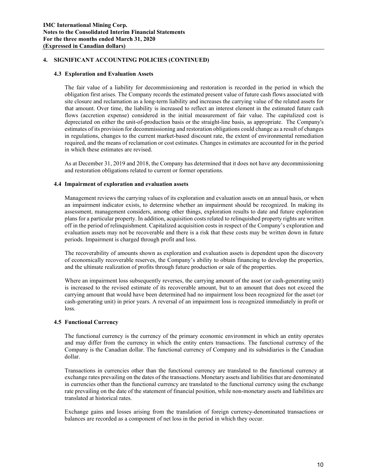### **4.3 Exploration and Evaluation Assets**

The fair value of a liability for decommissioning and restoration is recorded in the period in which the obligation first arises. The Company records the estimated present value of future cash flows associated with site closure and reclamation as a long-term liability and increases the carrying value of the related assets for that amount. Over time, the liability is increased to reflect an interest element in the estimated future cash flows (accretion expense) considered in the initial measurement of fair value. The capitalized cost is depreciated on either the unit-of-production basis or the straight-line basis, as appropriate. The Company's estimates of its provision for decommissioning and restoration obligations could change as a result of changes in regulations, changes to the current market-based discount rate, the extent of environmental remediation required, and the means of reclamation or cost estimates. Changes in estimates are accounted for in the period in which these estimates are revised.

As at December 31, 2019 and 2018, the Company has determined that it does not have any decommissioning and restoration obligations related to current or former operations.

## **4.4 Impairment of exploration and evaluation assets**

Management reviews the carrying values of its exploration and evaluation assets on an annual basis, or when an impairment indicator exists, to determine whether an impairment should be recognized. In making its assessment, management considers, among other things, exploration results to date and future exploration plans for a particular property. In addition, acquisition costs related to relinquished property rights are written off in the period of relinquishment. Capitalized acquisition costs in respect of the Company's exploration and evaluation assets may not be recoverable and there is a risk that these costs may be written down in future periods. Impairment is charged through profit and loss.

The recoverability of amounts shown as exploration and evaluation assets is dependent upon the discovery of economically recoverable reserves, the Company's ability to obtain financing to develop the properties, and the ultimate realization of profits through future production or sale of the properties.

Where an impairment loss subsequently reverses, the carrying amount of the asset (or cash-generating unit) is increased to the revised estimate of its recoverable amount, but to an amount that does not exceed the carrying amount that would have been determined had no impairment loss been recognized for the asset (or cash-generating unit) in prior years. A reversal of an impairment loss is recognized immediately in profit or loss.

#### **4.5 Functional Currency**

The functional currency is the currency of the primary economic environment in which an entity operates and may differ from the currency in which the entity enters transactions. The functional currency of the Company is the Canadian dollar. The functional currency of Company and its subsidiaries is the Canadian dollar.

Transactions in currencies other than the functional currency are translated to the functional currency at exchange rates prevailing on the dates of the transactions. Monetary assets and liabilities that are denominated in currencies other than the functional currency are translated to the functional currency using the exchange rate prevailing on the date of the statement of financial position, while non-monetary assets and liabilities are translated at historical rates.

Exchange gains and losses arising from the translation of foreign currency-denominated transactions or balances are recorded as a component of net loss in the period in which they occur.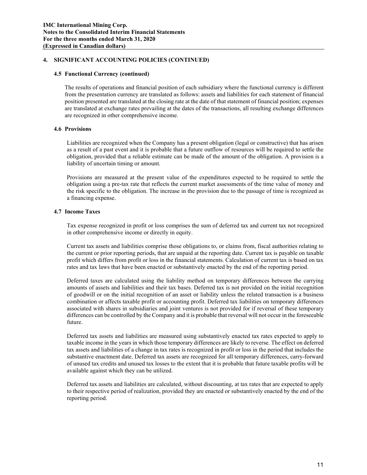### **4.5 Functional Currency (continued)**

The results of operations and financial position of each subsidiary where the functional currency is different from the presentation currency are translated as follows: assets and liabilities for each statement of financial position presented are translated at the closing rate at the date of that statement of financial position; expenses are translated at exchange rates prevailing at the dates of the transactions, all resulting exchange differences are recognized in other comprehensive income.

## **4.6 Provisions**

Liabilities are recognized when the Company has a present obligation (legal or constructive) that has arisen as a result of a past event and it is probable that a future outflow of resources will be required to settle the obligation, provided that a reliable estimate can be made of the amount of the obligation. A provision is a liability of uncertain timing or amount.

Provisions are measured at the present value of the expenditures expected to be required to settle the obligation using a pre-tax rate that reflects the current market assessments of the time value of money and the risk specific to the obligation. The increase in the provision due to the passage of time is recognized as a financing expense.

## **4.7 Income Taxes**

Tax expense recognized in profit or loss comprises the sum of deferred tax and current tax not recognized in other comprehensive income or directly in equity.

Current tax assets and liabilities comprise those obligations to, or claims from, fiscal authorities relating to the current or prior reporting periods, that are unpaid at the reporting date. Current tax is payable on taxable profit which differs from profit or loss in the financial statements. Calculation of current tax is based on tax rates and tax laws that have been enacted or substantively enacted by the end of the reporting period.

Deferred taxes are calculated using the liability method on temporary differences between the carrying amounts of assets and liabilities and their tax bases. Deferred tax is not provided on the initial recognition of goodwill or on the initial recognition of an asset or liability unless the related transaction is a business combination or affects taxable profit or accounting profit. Deferred tax liabilities on temporary differences associated with shares in subsidiaries and joint ventures is not provided for if reversal of these temporary differences can be controlled by the Company and it is probable that reversal will not occur in the foreseeable future.

Deferred tax assets and liabilities are measured using substantively enacted tax rates expected to apply to taxable income in the years in which those temporary differences are likely to reverse. The effect on deferred tax assets and liabilities of a change in tax rates is recognized in profit or loss in the period that includes the substantive enactment date. Deferred tax assets are recognized for all temporary differences, carry-forward of unused tax credits and unused tax losses to the extent that it is probable that future taxable profits will be available against which they can be utilized.

Deferred tax assets and liabilities are calculated, without discounting, at tax rates that are expected to apply to their respective period of realization, provided they are enacted or substantively enacted by the end of the reporting period.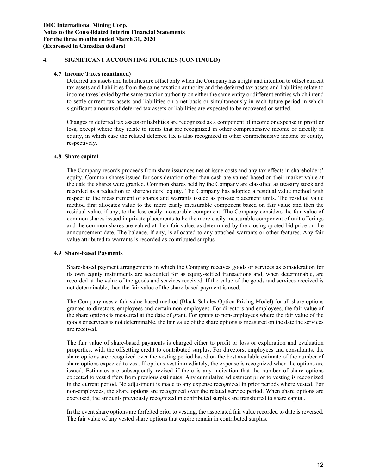#### **4.7 Income Taxes (continued)**

Deferred tax assets and liabilities are offset only when the Company has a right and intention to offset current tax assets and liabilities from the same taxation authority and the deferred tax assets and liabilities relate to income taxes levied by the same taxation authority on either the same entity or different entities which intend to settle current tax assets and liabilities on a net basis or simultaneously in each future period in which significant amounts of deferred tax assets or liabilities are expected to be recovered or settled.

Changes in deferred tax assets or liabilities are recognized as a component of income or expense in profit or loss, except where they relate to items that are recognized in other comprehensive income or directly in equity, in which case the related deferred tax is also recognized in other comprehensive income or equity, respectively.

#### **4.8 Share capital**

The Company records proceeds from share issuances net of issue costs and any tax effects in shareholders' equity. Common shares issued for consideration other than cash are valued based on their market value at the date the shares were granted. Common shares held by the Company are classified as treasury stock and recorded as a reduction to shareholders' equity. The Company has adopted a residual value method with respect to the measurement of shares and warrants issued as private placement units. The residual value method first allocates value to the more easily measurable component based on fair value and then the residual value, if any, to the less easily measurable component. The Company considers the fair value of common shares issued in private placements to be the more easily measurable component of unit offerings and the common shares are valued at their fair value, as determined by the closing quoted bid price on the announcement date. The balance, if any, is allocated to any attached warrants or other features. Any fair value attributed to warrants is recorded as contributed surplus.

#### **4.9 Share-based Payments**

Share-based payment arrangements in which the Company receives goods or services as consideration for its own equity instruments are accounted for as equity-settled transactions and, when determinable, are recorded at the value of the goods and services received. If the value of the goods and services received is not determinable, then the fair value of the share-based payment is used.

The Company uses a fair value-based method (Black-Scholes Option Pricing Model) for all share options granted to directors, employees and certain non-employees. For directors and employees, the fair value of the share options is measured at the date of grant. For grants to non-employees where the fair value of the goods or services is not determinable, the fair value of the share options is measured on the date the services are received.

The fair value of share-based payments is charged either to profit or loss or exploration and evaluation properties, with the offsetting credit to contributed surplus. For directors, employees and consultants, the share options are recognized over the vesting period based on the best available estimate of the number of share options expected to vest. If options vest immediately, the expense is recognized when the options are issued. Estimates are subsequently revised if there is any indication that the number of share options expected to vest differs from previous estimates. Any cumulative adjustment prior to vesting is recognized in the current period. No adjustment is made to any expense recognized in prior periods where vested. For non-employees, the share options are recognized over the related service period. When share options are exercised, the amounts previously recognized in contributed surplus are transferred to share capital.

In the event share options are forfeited prior to vesting, the associated fair value recorded to date is reversed. The fair value of any vested share options that expire remain in contributed surplus.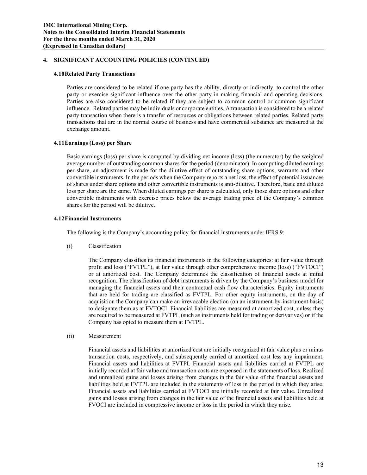#### **4.10Related Party Transactions**

Parties are considered to be related if one party has the ability, directly or indirectly, to control the other party or exercise significant influence over the other party in making financial and operating decisions. Parties are also considered to be related if they are subject to common control or common significant influence. Related parties may be individuals or corporate entities. A transaction is considered to be a related party transaction when there is a transfer of resources or obligations between related parties. Related party transactions that are in the normal course of business and have commercial substance are measured at the exchange amount.

## **4.11Earnings (Loss) per Share**

Basic earnings (loss) per share is computed by dividing net income (loss) (the numerator) by the weighted average number of outstanding common shares for the period (denominator). In computing diluted earnings per share, an adjustment is made for the dilutive effect of outstanding share options, warrants and other convertible instruments. In the periods when the Company reports a net loss, the effect of potential issuances of shares under share options and other convertible instruments is anti-dilutive. Therefore, basic and diluted loss per share are the same. When diluted earnings per share is calculated, only those share options and other convertible instruments with exercise prices below the average trading price of the Company's common shares for the period will be dilutive.

## **4.12Financial Instruments**

The following is the Company's accounting policy for financial instruments under IFRS 9:

(i) Classification

The Company classifies its financial instruments in the following categories: at fair value through profit and loss ("FVTPL"), at fair value through other comprehensive income (loss) ("FVTOCI") or at amortized cost. The Company determines the classification of financial assets at initial recognition. The classification of debt instruments is driven by the Company's business model for managing the financial assets and their contractual cash flow characteristics. Equity instruments that are held for trading are classified as FVTPL. For other equity instruments, on the day of acquisition the Company can make an irrevocable election (on an instrument-by-instrument basis) to designate them as at FVTOCI. Financial liabilities are measured at amortized cost, unless they are required to be measured at FVTPL (such as instruments held for trading or derivatives) or if the Company has opted to measure them at FVTPL.

(ii) Measurement

Financial assets and liabilities at amortized cost are initially recognized at fair value plus or minus transaction costs, respectively, and subsequently carried at amortized cost less any impairment. Financial assets and liabilities at FVTPL Financial assets and liabilities carried at FVTPL are initially recorded at fair value and transaction costs are expensed in the statements of loss. Realized and unrealized gains and losses arising from changes in the fair value of the financial assets and liabilities held at FVTPL are included in the statements of loss in the period in which they arise. Financial assets and liabilities carried at FVTOCI are initially recorded at fair value. Unrealized gains and losses arising from changes in the fair value of the financial assets and liabilities held at FVOCI are included in compressive income or loss in the period in which they arise.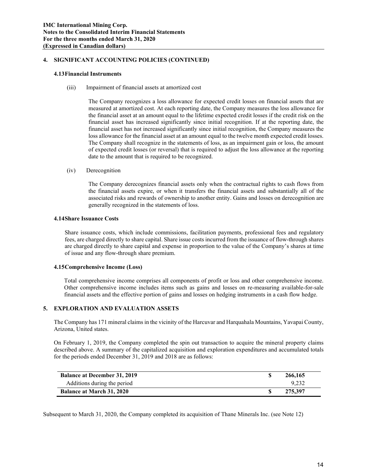## **4.13Financial Instruments**

(iii) Impairment of financial assets at amortized cost

The Company recognizes a loss allowance for expected credit losses on financial assets that are measured at amortized cost. At each reporting date, the Company measures the loss allowance for the financial asset at an amount equal to the lifetime expected credit losses if the credit risk on the financial asset has increased significantly since initial recognition. If at the reporting date, the financial asset has not increased significantly since initial recognition, the Company measures the loss allowance for the financial asset at an amount equal to the twelve month expected credit losses. The Company shall recognize in the statements of loss, as an impairment gain or loss, the amount of expected credit losses (or reversal) that is required to adjust the loss allowance at the reporting date to the amount that is required to be recognized.

(iv) Derecognition

The Company derecognizes financial assets only when the contractual rights to cash flows from the financial assets expire, or when it transfers the financial assets and substantially all of the associated risks and rewards of ownership to another entity. Gains and losses on derecognition are generally recognized in the statements of loss.

## **4.14Share Issuance Costs**

Share issuance costs, which include commissions, facilitation payments, professional fees and regulatory fees, are charged directly to share capital. Share issue costs incurred from the issuance of flow-through shares are charged directly to share capital and expense in proportion to the value of the Company's shares at time of issue and any flow-through share premium.

## **4.15Comprehensive Income (Loss)**

Total comprehensive income comprises all components of profit or loss and other comprehensive income. Other comprehensive income includes items such as gains and losses on re-measuring available-for-sale financial assets and the effective portion of gains and losses on hedging instruments in a cash flow hedge.

## **5. EXPLORATION AND EVALUATION ASSETS**

The Company has 171 mineral claims in the vicinity of the Harcuvar and Harquahala Mountains, Yavapai County, Arizona, United states.

On February 1, 2019, the Company completed the spin out transaction to acquire the mineral property claims described above. A summary of the capitalized acquisition and exploration expenditures and accumulated totals for the periods ended December 31, 2019 and 2018 are as follows:

| <b>Balance at December 31, 2019</b> | 266,165 |
|-------------------------------------|---------|
| Additions during the period         | 9.232   |
| <b>Balance at March 31, 2020</b>    | 275.397 |

Subsequent to March 31, 2020, the Company completed its acquisition of Thane Minerals Inc. (see Note 12)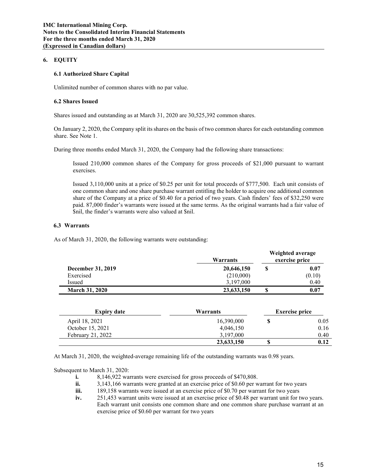## **6. EQUITY**

## **6.1 Authorized Share Capital**

Unlimited number of common shares with no par value.

## **6.2 Shares Issued**

Shares issued and outstanding as at March 31, 2020 are 30,525,392 common shares.

On January 2, 2020, the Company split its shares on the basis of two common shares for each outstanding common share. See Note 1.

During three months ended March 31, 2020, the Company had the following share transactions:

Issued 210,000 common shares of the Company for gross proceeds of \$21,000 pursuant to warrant exercises.

Issued 3,110,000 units at a price of \$0.25 per unit for total proceeds of \$777,500. Each unit consists of one common share and one share purchase warrant entitling the holder to acquire one additional common share of the Company at a price of \$0.40 for a period of two years. Cash finders' fees of \$32,250 were paid. 87,000 finder's warrants were issued at the same terms. As the original warrants had a fair value of \$nil, the finder's warrants were also valued at \$nil.

## **6.3 Warrants**

As of March 31, 2020, the following warrants were outstanding:

|                          | Warrants   | Weighted average<br>exercise price |
|--------------------------|------------|------------------------------------|
| <b>December 31, 2019</b> | 20,646,150 | \$<br>0.07                         |
| Exercised                | (210,000)  | (0.10)                             |
| Issued                   | 3.197.000  | 0.40                               |
| <b>March 31, 2020</b>    | 23,633,150 | \$<br>0.07                         |

| <b>Expiry date</b>  | Warrants   |  | <b>Exercise price</b> |
|---------------------|------------|--|-----------------------|
| April 18, 2021      | 16,390,000 |  | 0.05                  |
| October 15, 2021    | 4,046,150  |  | 0.16                  |
| February 21, $2022$ | 3,197,000  |  | 0.40                  |
|                     | 23,633,150 |  | 0.12                  |

At March 31, 2020, the weighted-average remaining life of the outstanding warrants was 0.98 years.

Subsequent to March 31, 2020:

- **i.** 8,146,922 warrants were exercised for gross proceeds of \$470,808.
- **ii.** 3,143,166 warrants were granted at an exercise price of \$0.60 per warrant for two years
- **iii.** 189,158 warrants were issued at an exercise price of \$0.70 per warrant for two years
- **iv.** 251,453 warrant units were issued at an exercise price of \$0.48 per warrant unit for two years. Each warrant unit consists one common share and one common share purchase warrant at an exercise price of \$0.60 per warrant for two years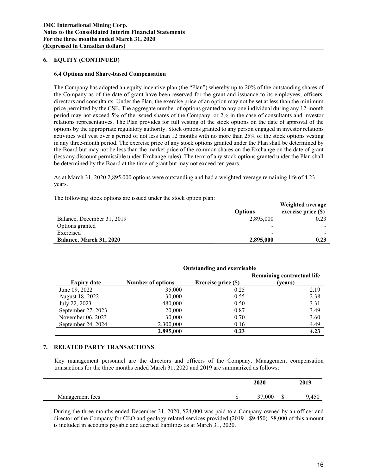## **6. EQUITY (CONTINUED)**

### **6.4 Options and Share-based Compensation**

The Company has adopted an equity incentive plan (the "Plan") whereby up to 20% of the outstanding shares of the Company as of the date of grant have been reserved for the grant and issuance to its employees, officers, directors and consultants. Under the Plan, the exercise price of an option may not be set at less than the minimum price permitted by the CSE. The aggregate number of options granted to any one individual during any 12-month period may not exceed 5% of the issued shares of the Company, or 2% in the case of consultants and investor relations representatives. The Plan provides for full vesting of the stock options on the date of approval of the options by the appropriate regulatory authority. Stock options granted to any person engaged in investor relations activities will vest over a period of not less than 12 months with no more than 25% of the stock options vesting in any three-month period. The exercise price of any stock options granted under the Plan shall be determined by the Board but may not be less than the market price of the common shares on the Exchange on the date of grant (less any discount permissible under Exchange rules). The term of any stock options granted under the Plan shall be determined by the Board at the time of grant but may not exceed ten years.

As at March 31, 2020 2,895,000 options were outstanding and had a weighted average remaining life of 4.23 years.

The following stock options are issued under the stock option plan:

|                            |                | Weighted average    |
|----------------------------|----------------|---------------------|
|                            | <b>Options</b> | exercise price (\$) |
| Balance, December 31, 2019 | 2,895,000      | 0.23                |
| Options granted            | ۰              |                     |
| Exercised                  | $\,$           |                     |
| Balance, March 31, 2020    | 2,895,000      | 0.23                |

|                    | <b>Outstanding and exercisable</b> |                            |                            |  |  |
|--------------------|------------------------------------|----------------------------|----------------------------|--|--|
|                    |                                    |                            | Remaining contractual life |  |  |
| <b>Expiry date</b> | <b>Number of options</b>           | <b>Exercise price (\$)</b> | (vears)                    |  |  |
| June 09, 2022      | 35,000                             | 0.25                       | 2.19                       |  |  |
| August 18, 2022    | 30,000                             | 0.55                       | 2.38                       |  |  |
| July 22, 2023      | 480,000                            | 0.50                       | 3.31                       |  |  |
| September 27, 2023 | 20,000                             | 0.87                       | 3.49                       |  |  |
| November 06, 2023  | 30,000                             | 0.70                       | 3.60                       |  |  |
| September 24, 2024 | 2,300,000                          | 0.16                       | 4.49                       |  |  |
|                    | 2,895,000                          | 0.23                       | 4.23                       |  |  |

#### **7. RELATED PARTY TRANSACTIONS**

Key management personnel are the directors and officers of the Company. Management compensation transactions for the three months ended March 31, 2020 and 2019 are summarized as follows:

|                    | 2020 |    | 2019 |
|--------------------|------|----|------|
| Management<br>tees | ,000 | ۰Ω | ,450 |

During the three months ended December 31, 2020, \$24,000 was paid to a Company owned by an officer and director of the Company for CEO and geology related services provided (2019 - \$9,450). \$8,000 of this amount is included in accounts payable and accrued liabilities as at March 31, 2020.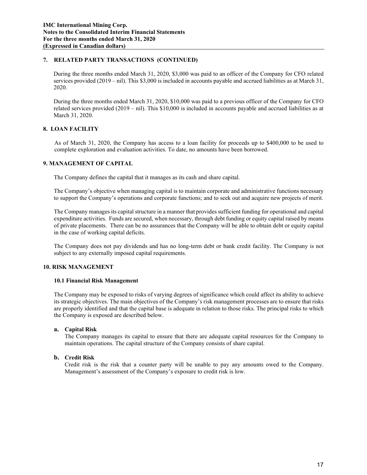## **7. RELATED PARTY TRANSACTIONS (CONTINUED)**

During the three months ended March 31, 2020, \$3,000 was paid to an officer of the Company for CFO related services provided (2019 – nil). This \$3,000 is included in accounts payable and accrued liabilities as at March 31, 2020.

During the three months ended March 31, 2020, \$10,000 was paid to a previous officer of the Company for CFO related services provided (2019 – nil). This \$10,000 is included in accounts payable and accrued liabilities as at March 31, 2020.

# **8. LOAN FACILITY**

As of March 31, 2020, the Company has access to a loan facility for proceeds up to \$400,000 to be used to complete exploration and evaluation activities. To date, no amounts have been borrowed.

## **9. MANAGEMENT OF CAPITAL**

The Company defines the capital that it manages as its cash and share capital.

The Company's objective when managing capital is to maintain corporate and administrative functions necessary to support the Company's operations and corporate functions; and to seek out and acquire new projects of merit.

The Company manages its capital structure in a manner that provides sufficient funding for operational and capital expenditure activities. Funds are secured, when necessary, through debt funding or equity capital raised by means of private placements. There can be no assurances that the Company will be able to obtain debt or equity capital in the case of working capital deficits.

The Company does not pay dividends and has no long-term debt or bank credit facility. The Company is not subject to any externally imposed capital requirements.

## **10. RISK MANAGEMENT**

#### **10.1 Financial Risk Management**

The Company may be exposed to risks of varying degrees of significance which could affect its ability to achieve its strategic objectives. The main objectives of the Company's risk management processes are to ensure that risks are properly identified and that the capital base is adequate in relation to those risks. The principal risks to which the Company is exposed are described below.

# **a. Capital Risk**

The Company manages its capital to ensure that there are adequate capital resources for the Company to maintain operations. The capital structure of the Company consists of share capital.

## **b. Credit Risk**

Credit risk is the risk that a counter party will be unable to pay any amounts owed to the Company. Management's assessment of the Company's exposure to credit risk is low.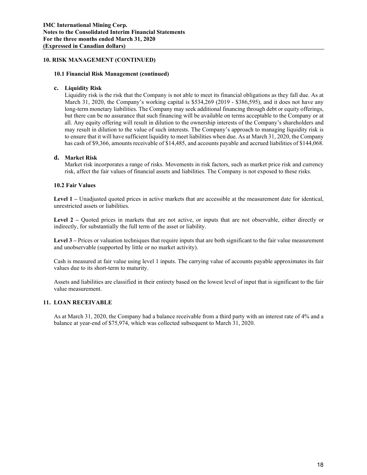## **10. RISK MANAGEMENT (CONTINUED)**

### **10.1 Financial Risk Management (continued)**

## **c. Liquidity Risk**

Liquidity risk is the risk that the Company is not able to meet its financial obligations as they fall due. As at March 31, 2020, the Company's working capital is \$534,269 (2019 - \$386,595), and it does not have any long-term monetary liabilities. The Company may seek additional financing through debt or equity offerings, but there can be no assurance that such financing will be available on terms acceptable to the Company or at all. Any equity offering will result in dilution to the ownership interests of the Company's shareholders and may result in dilution to the value of such interests. The Company's approach to managing liquidity risk is to ensure that it will have sufficient liquidity to meet liabilities when due. As at March 31, 2020, the Company has cash of \$9,366, amounts receivable of \$14,485, and accounts payable and accrued liabilities of \$144,068.

## **d. Market Risk**

Market risk incorporates a range of risks. Movements in risk factors, such as market price risk and currency risk, affect the fair values of financial assets and liabilities. The Company is not exposed to these risks.

## **10.2 Fair Values**

Level 1 – Unadjusted quoted prices in active markets that are accessible at the measurement date for identical, unrestricted assets or liabilities.

Level 2 – Quoted prices in markets that are not active, or inputs that are not observable, either directly or indirectly, for substantially the full term of the asset or liability.

Level 3 – Prices or valuation techniques that require inputs that are both significant to the fair value measurement and unobservable (supported by little or no market activity).

Cash is measured at fair value using level 1 inputs. The carrying value of accounts payable approximates its fair values due to its short-term to maturity.

Assets and liabilities are classified in their entirety based on the lowest level of input that is significant to the fair value measurement.

#### **11. LOAN RECEIVABLE**

As at March 31, 2020, the Company had a balance receivable from a third party with an interest rate of 4% and a balance at year-end of \$75,974, which was collected subsequent to March 31, 2020.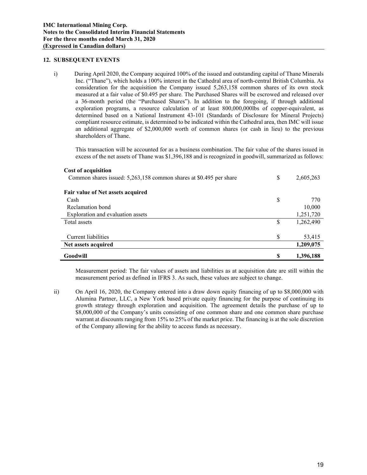### **12. SUBSEQUENT EVENTS**

i) During April 2020, the Company acquired 100% of the issued and outstanding capital of Thane Minerals Inc. ("Thane"), which holds a 100% interest in the Cathedral area of north-central British Columbia. As consideration for the acquisition the Company issued 5,263,158 common shares of its own stock measured at a fair value of \$0.495 per share. The Purchased Shares will be escrowed and released over a 36-month period (the "Purchased Shares"). In addition to the foregoing, if through additional exploration programs, a resource calculation of at least 800,000,000lbs of copper-equivalent, as determined based on a National Instrument 43-101 (Standards of Disclosure for Mineral Projects) compliant resource estimate, is determined to be indicated within the Cathedral area, then IMC will issue an additional aggregate of \$2,000,000 worth of common shares (or cash in lieu) to the previous shareholders of Thane.

This transaction will be accounted for as a business combination. The fair value of the shares issued in excess of the net assets of Thane was \$1,396,188 and is recognized in goodwill, summarized as follows:

#### **Cost of acquisition**

| Common shares issued: 5,263,158 common shares at \$0.495 per share | \$ | 2,605,263 |
|--------------------------------------------------------------------|----|-----------|
| Fair value of Net assets acquired                                  |    |           |
| Cash                                                               | S  | 770       |
| Reclamation bond                                                   |    | 10,000    |
| Exploration and evaluation assets                                  |    | 1,251,720 |
| Total assets                                                       | S  | 1,262,490 |
|                                                                    |    |           |
| Current liabilities                                                | S  | 53,415    |
| Net assets acquired                                                |    | 1,209,075 |
| Goodwill                                                           | \$ | 1,396,188 |

Measurement period: The fair values of assets and liabilities as at acquisition date are still within the measurement period as defined in IFRS 3. As such, these values are subject to change.

ii) On April 16, 2020, the Company entered into a draw down equity financing of up to \$8,000,000 with Alumina Partner, LLC, a New York based private equity financing for the purpose of continuing its growth strategy through exploration and acquisition. The agreement details the purchase of up to \$8,000,000 of the Company's units consisting of one common share and one common share purchase warrant at discounts ranging from 15% to 25% of the market price. The financing is at the sole discretion of the Company allowing for the ability to access funds as necessary.